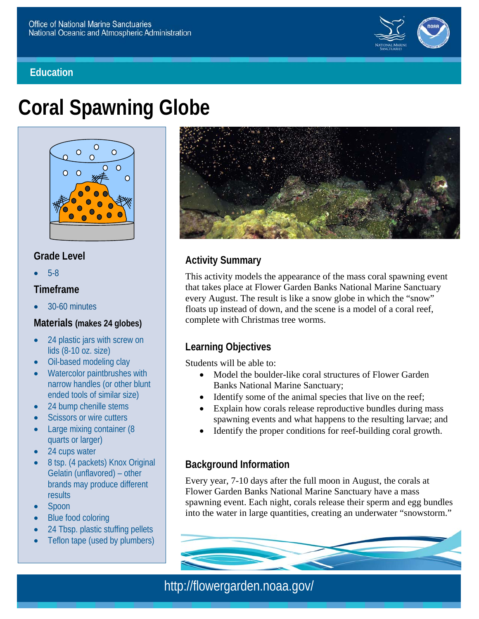#### **Education**



# **Coral Spawning Globe**



#### **Grade Level**

5-8

#### **Timeframe**

30-60 minutes

#### **Materials (makes 24 globes)**

- $\bullet$ 24 plastic jars with screw on lids (8-10 oz. size)
- $\bullet$ Oil-based modeling clay
- $\bullet$ Watercolor paintbrushes wit h narrow handles (or other blunt ended tools of similar size)
- $\bullet$ 24 bump chenille stems
- $\bullet$ Scissors or wire cutters
- $\bullet$ Large mixing container (8 quarts or larger)
- $\bullet$ 24 cups water
- $\bullet$ 8 tsp. (4 packets) Knox Original Gelatin (unflavored) – other brands may produce different **results**
- $\bullet$ Spoon
- $\bullet$ Blue food coloring
- $\bullet$ 24 Tbsp. plas tic stuffing pellets
- $\bullet$ Teflon tape (used by plumbers)



# **Activity Summary**

This activity models the appearance of the mass coral spawning event that takes place at Flower Garden Banks National Marine Sanctuary every August. The result is like a snow globe in which the "snow" floats up instead of down, and the scene is a model of a coral reef, complete with Christmas tree worms.

# **Learning Objectives**

Students will be able to:

- Model the boulder-like coral structures of Flower Garden Banks National Marine Sanctuary;
- Identify some of the animal species that live on the reef;
- Explain how corals release reproductive bundles during m ass spawning events and what happens to the resulting larvae; a nd
- Identify the proper conditions for reef-building coral growth.

#### **Background Information**

Every year, 7-10 days after the full moon in August, the corals at Flower Garden Banks National Marine Sanctuary have a mass spawning event. Each night, corals release their sperm and egg bundles into the water in large quantities, creating an underwater "snowstorm."

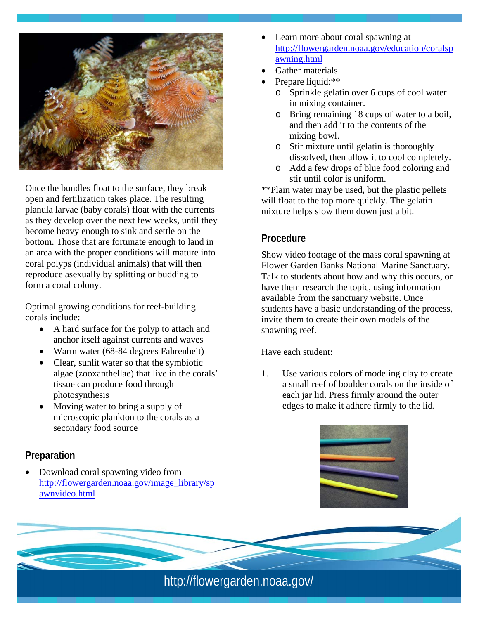

Once the bundles float to the surface, they break open and fertilization takes place. The resulting planula larvae (baby corals) float with the currents as they develop over the next few weeks, until they become heavy enough to sink and settle on the bottom. Those that are fortunate enough to land in an area with the proper conditions will mature into coral polyps (individual animals) that will then reproduce asexually by splitting or budding to form a coral colony.

Optimal growing conditions for reef-building corals include:

- A hard surface for the po lyp to attach and anchor itself against currents and waves
- Warm water (68-84 degrees Fahrenheit)
- Clear, sunlit water so that the symbiotic algae (zooxanthellae) that live in th e corals' tissue can produce food through photosynthesis
- Moving water to bring a supply of microscopic plankton to the corals as a secondary food source

#### **Preparation**

 Download coral spawning video from http://flowergarden.no aa.gov/image\_library/sp awnvideo.html

- Learn more about coral spawning at http://flowergarden.noaa.gov/education/coralsp awning.html
- Gather materials
- Prepare liquid:\*\*
	- o Sprinkle gelatin over 6 cups of cool water in m ixing container.
	- o Bring rem aining 18 cups of water to a boil, and then add it to the contents of the m ixing bowl .
	- o Stir m i xture until g elatin is thorough ly dissolved, then allow it to cool completely.
	- o Add a few drops of blue food coloring and stir un til color is unif orm.

\*\*Plain water may be used, but the plastic pellets will float to the top more quickly. The gelatin mixture helps slow them down just a bit.

# **Procedure**

Show video footage of the mass coral spawning at Flower Garden Banks National Marine Sanctuary. Talk to students about how and why this occurs, or have them research the topic, using information available from the sanctuary website. Once students have a basic understanding of the process, invite them to create their own models of the spawning reef.

Have each student:

1. Use various colors of modeling clay to create a sm all reef of boulder co rals on the inside of each jar lid. Press firm ly around the o uter edges to make it adhere firmly to the lid.

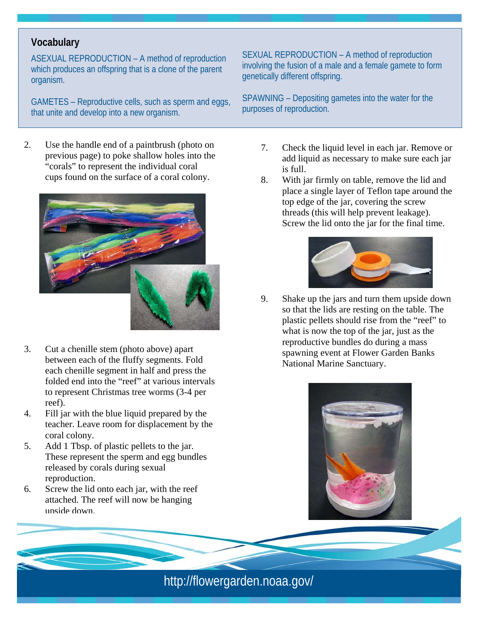# **Vocabulary**

ASEXUAL REPRODUCTION - A method of reproduction which produc es an offspring that is a clone of the parent organism.

GAMETES – Reproductive cells, such as sperm and eggs, that unite and develop into a new organis m.

 previous page) to poke shallow holes into the 2. Use the handle end of a paintbrush (photo on "corals" to represent the individual coral cups found on the surface of a coral colony.



- 3. Cut a chenille stem (photo above) apart between each of the fluffy segm ents. Fold each chen ille segm ent in half and press the folded end into the "reef " at various intervals to represen t Christm as tree worm s (3-4 per reef).
- 4. Fill jar with the blue liquid prepared by the teacher. Leave room for displacem ent by the coral colony.
- 5. Add 1 Tbsp. of plastic pellets to the jar. These represent the sperm and egg bundles released by corals during sexual reproduction.
- 6. Screw the lid onto each jar, with the reef atta ched. Th e reef will n o w be hanging upside down.

SEXUAL REPRODUCTION – A method of reproduction involv ing the fusion of a male and a female gamete to form genetically dif ferent offspring.

SPAWNING – Depositin g gametes into the water for the purposes of reproduction.

- 7. Check the liquid level in each jar. Remove or add liquid as necessary to make sure each jar is full.
- 8. With jar firmly on table, remove the lid and place a single layer of Teflon tape around the top edge of the jar, covering the screw threads (this will help prevent leakage). Screw the lid onto the jar for the final time.



9. Shake up the jars and turn them upside down so that the lids are resting on the table. The plastic pellets should rise from the "reef" to what is now the top of the jar, just as the reproductive bundles do during a mass spawning event at Flower Garden Banks National Marine Sanctuary.